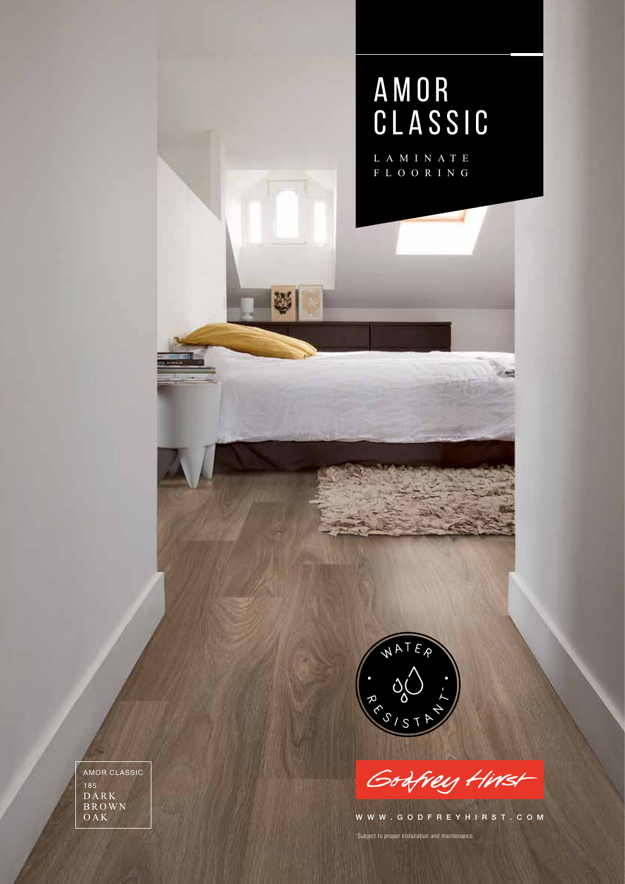

Godfrey Hirst

WWW.GODFREYHIRST.COM

^Subject to proper installation and maintenance.

D A R K B R O W N OAK AMOR CLASSIC 185